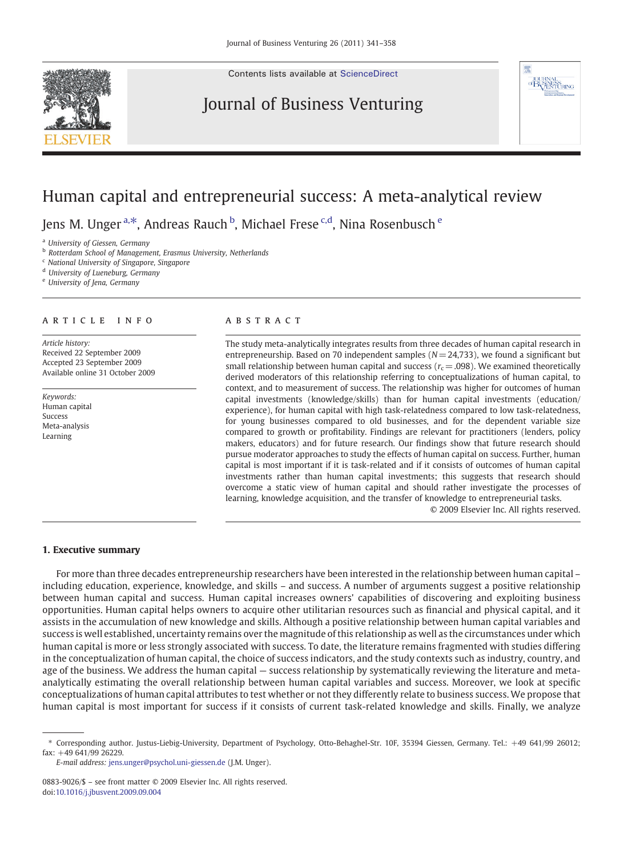Contents lists available at [ScienceDirect](http://www.sciencedirect.com/science/journal/08839026)

## Journal of Business Venturing



## Human capital and entrepreneurial success: A meta-analytical review

Jens M. Unger <sup>a, $\ast$ </sup>, Andreas Rauch <sup>b</sup>, Michael Frese <sup>c,d</sup>, Nina Rosenbusch <sup>e</sup>

<sup>a</sup> University of Giessen, Germany

**b** Rotterdam School of Management, Erasmus University, Netherlands

<sup>c</sup> National University of Singapore, Singapore

<sup>d</sup> University of Lueneburg, Germany

<sup>e</sup> University of Jena, Germany

### article info abstract

Article history: Received 22 September 2009 Accepted 23 September 2009 Available online 31 October 2009

Keywords: Human capital Success Meta-analysis Learning

The study meta-analytically integrates results from three decades of human capital research in entrepreneurship. Based on 70 independent samples  $(N= 24,733)$ , we found a significant but small relationship between human capital and success ( $r_c$  = .098). We examined theoretically derived moderators of this relationship referring to conceptualizations of human capital, to context, and to measurement of success. The relationship was higher for outcomes of human capital investments (knowledge/skills) than for human capital investments (education/ experience), for human capital with high task-relatedness compared to low task-relatedness, for young businesses compared to old businesses, and for the dependent variable size compared to growth or profitability. Findings are relevant for practitioners (lenders, policy makers, educators) and for future research. Our findings show that future research should pursue moderator approaches to study the effects of human capital on success. Further, human capital is most important if it is task-related and if it consists of outcomes of human capital investments rather than human capital investments; this suggests that research should overcome a static view of human capital and should rather investigate the processes of learning, knowledge acquisition, and the transfer of knowledge to entrepreneurial tasks.

© 2009 Elsevier Inc. All rights reserved.

### 1. Executive summary

For more than three decades entrepreneurship researchers have been interested in the relationship between human capital – including education, experience, knowledge, and skills – and success. A number of arguments suggest a positive relationship between human capital and success. Human capital increases owners' capabilities of discovering and exploiting business opportunities. Human capital helps owners to acquire other utilitarian resources such as financial and physical capital, and it assists in the accumulation of new knowledge and skills. Although a positive relationship between human capital variables and success is well established, uncertainty remains over the magnitude of this relationship as well as the circumstances under which human capital is more or less strongly associated with success. To date, the literature remains fragmented with studies differing in the conceptualization of human capital, the choice of success indicators, and the study contexts such as industry, country, and age of the business. We address the human capital — success relationship by systematically reviewing the literature and metaanalytically estimating the overall relationship between human capital variables and success. Moreover, we look at specific conceptualizations of human capital attributes to test whether or not they differently relate to business success. We propose that human capital is most important for success if it consists of current task-related knowledge and skills. Finally, we analyze

<sup>⁎</sup> Corresponding author. Justus-Liebig-University, Department of Psychology, Otto-Behaghel-Str. 10F, 35394 Giessen, Germany. Tel.: +49 641/99 26012; fax: +49 641/99 26229.

E-mail address: [jens.unger@psychol.uni-giessen.de](mailto:jens.unger@psychol.uni-giessen.de) (J.M. Unger).

<sup>0883-9026/\$</sup> – see front matter © 2009 Elsevier Inc. All rights reserved. doi[:10.1016/j.jbusvent.2009.09.004](http://dx.doi.org/10.1016/j.jbusvent.2009.09.004)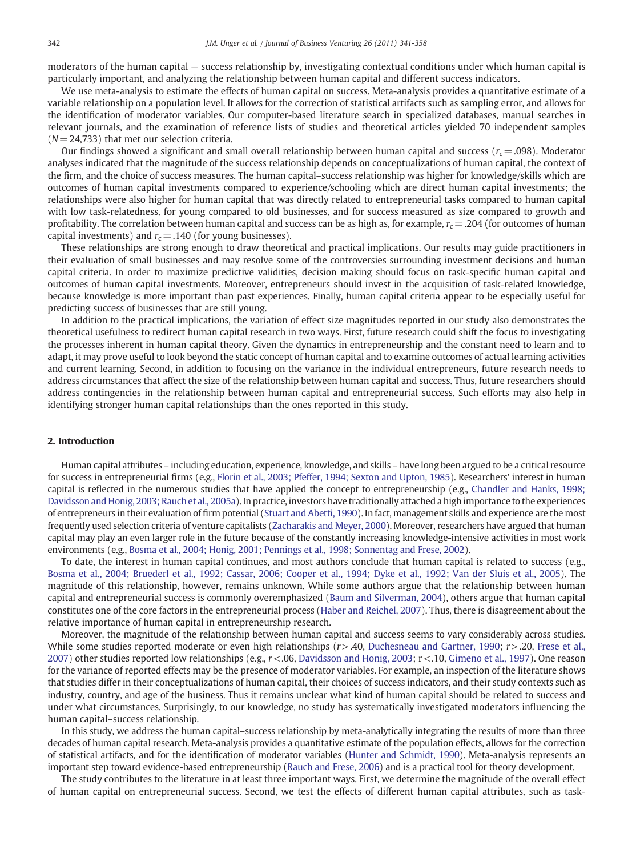moderators of the human capital — success relationship by, investigating contextual conditions under which human capital is particularly important, and analyzing the relationship between human capital and different success indicators.

We use meta-analysis to estimate the effects of human capital on success. Meta-analysis provides a quantitative estimate of a variable relationship on a population level. It allows for the correction of statistical artifacts such as sampling error, and allows for the identification of moderator variables. Our computer-based literature search in specialized databases, manual searches in relevant journals, and the examination of reference lists of studies and theoretical articles yielded 70 independent samples  $(N= 24,733)$  that met our selection criteria.

Our findings showed a significant and small overall relationship between human capital and success ( $r_c$  = .098). Moderator analyses indicated that the magnitude of the success relationship depends on conceptualizations of human capital, the context of the firm, and the choice of success measures. The human capital–success relationship was higher for knowledge/skills which are outcomes of human capital investments compared to experience/schooling which are direct human capital investments; the relationships were also higher for human capital that was directly related to entrepreneurial tasks compared to human capital with low task-relatedness, for young compared to old businesses, and for success measured as size compared to growth and profitability. The correlation between human capital and success can be as high as, for example,  $r_c$  = .204 (for outcomes of human capital investments) and  $r_c$  = .140 (for young businesses).

These relationships are strong enough to draw theoretical and practical implications. Our results may guide practitioners in their evaluation of small businesses and may resolve some of the controversies surrounding investment decisions and human capital criteria. In order to maximize predictive validities, decision making should focus on task-specific human capital and outcomes of human capital investments. Moreover, entrepreneurs should invest in the acquisition of task-related knowledge, because knowledge is more important than past experiences. Finally, human capital criteria appear to be especially useful for predicting success of businesses that are still young.

In addition to the practical implications, the variation of effect size magnitudes reported in our study also demonstrates the theoretical usefulness to redirect human capital research in two ways. First, future research could shift the focus to investigating the processes inherent in human capital theory. Given the dynamics in entrepreneurship and the constant need to learn and to adapt, it may prove useful to look beyond the static concept of human capital and to examine outcomes of actual learning activities and current learning. Second, in addition to focusing on the variance in the individual entrepreneurs, future research needs to address circumstances that affect the size of the relationship between human capital and success. Thus, future researchers should address contingencies in the relationship between human capital and entrepreneurial success. Such efforts may also help in identifying stronger human capital relationships than the ones reported in this study.

### 2. Introduction

Human capital attributes – including education, experience, knowledge, and skills – have long been argued to be a critical resource for success in entrepreneurial firms (e.g., [Florin et al., 2003; Pfeffer, 1994; Sexton and Upton, 1985](#page--1-0)). Researchers' interest in human capital is reflected in the numerous studies that have applied the concept to entrepreneurship (e.g., [Chandler and Hanks, 1998;](#page--1-0) [Davidsson and Honig, 2003; Rauch et al., 2005a](#page--1-0)). In practice, investors have traditionally attached a high importance to the experiences of entrepreneurs in their evaluation of firm potential [\(Stuart and Abetti, 1990\)](#page--1-0). In fact, management skills and experience are the most frequently used selection criteria of venture capitalists [\(Zacharakis and Meyer, 2000](#page--1-0)). Moreover, researchers have argued that human capital may play an even larger role in the future because of the constantly increasing knowledge-intensive activities in most work environments (e.g., [Bosma et al., 2004; Honig, 2001; Pennings et al., 1998; Sonnentag and Frese, 2002\)](#page--1-0).

To date, the interest in human capital continues, and most authors conclude that human capital is related to success (e.g., [Bosma et al., 2004; Bruederl et al., 1992; Cassar, 2006; Cooper et al., 1994; Dyke et al., 1992; Van der Sluis et al., 2005\)](#page--1-0). The magnitude of this relationship, however, remains unknown. While some authors argue that the relationship between human capital and entrepreneurial success is commonly overemphasized ([Baum and Silverman, 2004](#page--1-0)), others argue that human capital constitutes one of the core factors in the entrepreneurial process ([Haber and Reichel, 2007](#page--1-0)). Thus, there is disagreement about the relative importance of human capital in entrepreneurship research.

Moreover, the magnitude of the relationship between human capital and success seems to vary considerably across studies. While some studies reported moderate or even high relationships  $(r > .40$ , [Duchesneau and Gartner, 1990](#page--1-0);  $r > .20$ , [Frese et al.,](#page--1-0) [2007](#page--1-0)) other studies reported low relationships (e.g.,  $r$  < .06, [Davidsson and Honig, 2003;](#page--1-0) r < .10, [Gimeno et al., 1997](#page--1-0)). One reason for the variance of reported effects may be the presence of moderator variables. For example, an inspection of the literature shows that studies differ in their conceptualizations of human capital, their choices of success indicators, and their study contexts such as industry, country, and age of the business. Thus it remains unclear what kind of human capital should be related to success and under what circumstances. Surprisingly, to our knowledge, no study has systematically investigated moderators influencing the human capital–success relationship.

In this study, we address the human capital–success relationship by meta-analytically integrating the results of more than three decades of human capital research. Meta-analysis provides a quantitative estimate of the population effects, allows for the correction of statistical artifacts, and for the identification of moderator variables [\(Hunter and Schmidt, 1990](#page--1-0)). Meta-analysis represents an important step toward evidence-based entrepreneurship [\(Rauch and Frese, 2006\)](#page--1-0) and is a practical tool for theory development.

The study contributes to the literature in at least three important ways. First, we determine the magnitude of the overall effect of human capital on entrepreneurial success. Second, we test the effects of different human capital attributes, such as task-